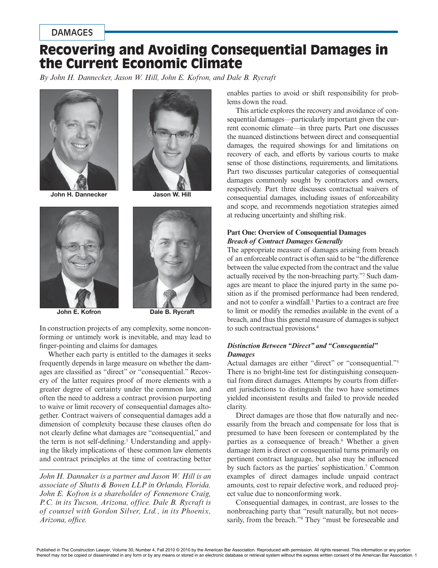## DAMAGES

# Recovering and Avoiding Consequential Damages in the Current Economic Climate

*By John H. Dannecker, Jason W. Hill, John E. Kofron, and Dale B. Rycraft*



John H. Dannecker Jason W. Hill







John E. Kofron Dale B. Rycraft

In construction projects of any complexity, some nonconforming or untimely work is inevitable, and may lead to finger-pointing and claims for damages.

Whether each party is entitled to the damages it seeks frequently depends in large measure on whether the damages are classified as "direct" or "consequential." Recovery of the latter requires proof of more elements with a greater degree of certainty under the common law, and often the need to address a contract provision purporting to waive or limit recovery of consequential damages altogether. Contract waivers of consequential damages add a dimension of complexity because these clauses often do not clearly define what damages are "consequential," and the term is not self-defining.<sup>1</sup> Understanding and applying the likely implications of these common law elements and contract principles at the time of contracting better

*John H. Dannaker is a partner and Jason W. Hill is an associate of Shutts & Bowen LLP in Orlando, Florida. John E. Kofron is a shareholder of Fennemore Craig, P.C. in its Tucson, Arizona, office. Dale B. Rycraft is of counsel with Gordon Silver, Ltd., in its Phoenix, Arizona, office.*

enables parties to avoid or shift responsibility for problems down the road.

This article explores the recovery and avoidance of consequential damages—particularly important given the current economic climate—in three parts. Part one discusses the nuanced distinctions between direct and consequential damages, the required showings for and limitations on recovery of each, and efforts by various courts to make sense of those distinctions, requirements, and limitations. Part two discusses particular categories of consequential damages commonly sought by contractors and owners, respectively. Part three discusses contractual waivers of consequential damages, including issues of enforceability and scope, and recommends negotiation strategies aimed at reducing uncertainty and shifting risk.

## **Part One: Overview of Consequential Damages** *Breach of Contract Damages Generally*

The appropriate measure of damages arising from breach of an enforceable contract is often said to be "the difference between the value expected from the contract and the value actually received by the non-breaching party."2 Such damages are meant to place the injured party in the same position as if the promised performance had been rendered, and not to confer a windfall.3 Parties to a contract are free to limit or modify the remedies available in the event of a breach, and thus this general measure of damages is subject to such contractual provisions.4

### *Distinction Between "Direct" and "Consequential" Damages*

Actual damages are either "direct" or "consequential."5 There is no bright-line test for distinguishing consequential from direct damages. Attempts by courts from different jurisdictions to distinguish the two have sometimes yielded inconsistent results and failed to provide needed clarity.

Direct damages are those that flow naturally and necessarily from the breach and compensate for loss that is presumed to have been foreseen or contemplated by the parties as a consequence of breach.<sup>6</sup> Whether a given damage item is direct or consequential turns primarily on pertinent contract language, but also may be influenced by such factors as the parties' sophistication.<sup>7</sup> Common examples of direct damages include unpaid contract amounts, cost to repair defective work, and reduced project value due to nonconforming work.

Consequential damages, in contrast, are losses to the nonbreaching party that "result naturally, but not necessarily, from the breach."<sup>8</sup> They "must be foreseeable and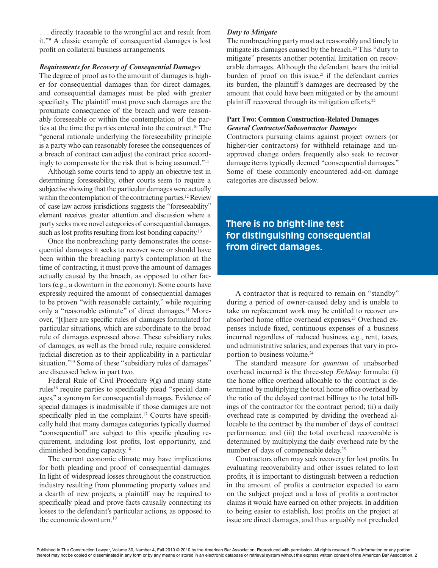. . . directly traceable to the wrongful act and result from it."9 A classic example of consequential damages is lost profit on collateral business arrangements.

#### *Requirements for Recovery of Consequential Damages*

The degree of proof as to the amount of damages is higher for consequential damages than for direct damages, and consequential damages must be pled with greater specificity. The plaintiff must prove such damages are the proximate consequence of the breach and were reasonably foreseeable or within the contemplation of the parties at the time the parties entered into the contract.10 The "general rationale underlying the foreseeability principle is a party who can reasonably foresee the consequences of a breach of contract can adjust the contract price accordingly to compensate for the risk that is being assumed."11

Although some courts tend to apply an objective test in determining foreseeability, other courts seem to require a subjective showing that the particular damages were actually within the contemplation of the contracting parties.<sup>12</sup> Review of case law across jurisdictions suggests the "foreseeability" element receives greater attention and discussion where a party seeks more novel categories of consequential damages, such as lost profits resulting from lost bonding capacity.<sup>13</sup>

Once the nonbreaching party demonstrates the consequential damages it seeks to recover were or should have been within the breaching party's contemplation at the time of contracting, it must prove the amount of damages actually caused by the breach, as opposed to other factors (e.g., a downturn in the economy). Some courts have expressly required the amount of consequential damages to be proven "with reasonable certainty," while requiring only a "reasonable estimate" of direct damages.<sup>14</sup> Moreover, "[t]here are specific rules of damages formulated for particular situations, which are subordinate to the broad rule of damages expressed above. These subsidiary rules of damages, as well as the broad rule, require considered judicial discretion as to their applicability in a particular situation."<sup>15</sup> Some of these "subsidiary rules of damages" are discussed below in part two.

Federal Rule of Civil Procedure 9(g) and many state rules<sup>16</sup> require parties to specifically plead "special damages," a synonym for consequential damages. Evidence of special damages is inadmissible if those damages are not specifically pled in the complaint.<sup>17</sup> Courts have specifically held that many damages categories typically deemed "consequential" are subject to this specific pleading requirement, including lost profits, lost opportunity, and diminished bonding capacity.18

The current economic climate may have implications for both pleading and proof of consequential damages. In light of widespread losses throughout the construction industry resulting from plummeting property values and a dearth of new projects, a plaintiff may be required to specifically plead and prove facts causally connecting its losses to the defendant's particular actions, as opposed to the economic downturn.19

## *Duty to Mitigate*

The nonbreaching party must act reasonably and timely to mitigate its damages caused by the breach.<sup>20</sup> This "duty to mitigate" presents another potential limitation on recoverable damages. Although the defendant bears the initial burden of proof on this issue, $21$  if the defendant carries its burden, the plaintiff's damages are decreased by the amount that could have been mitigated or by the amount plaintiff recovered through its mitigation efforts.<sup>22</sup>

#### **Part Two: Common Construction-Related Damages** *General Contractor/Subcontractor Damages*

Contractors pursuing claims against project owners (or higher-tier contractors) for withheld retainage and unapproved change orders frequently also seek to recover damage items typically deemed "consequential damages." Some of these commonly encountered add-on damage categories are discussed below.

**There is no bright-line test for distinguishing consequential from direct damages.**

A contractor that is required to remain on "standby" during a period of owner-caused delay and is unable to take on replacement work may be entitled to recover unabsorbed home office overhead expenses.<sup>23</sup> Overhead expenses include fixed, continuous expenses of a business incurred regardless of reduced business, e.g., rent, taxes, and administrative salaries; and expenses that vary in proportion to business volume.<sup>24</sup>

The standard measure for *quantum* of unabsorbed overhead incurred is the three-step *Eichleay* formula: (i) the home office overhead allocable to the contract is determined by multiplying the total home office overhead by the ratio of the delayed contract billings to the total billings of the contractor for the contract period; (ii) a daily overhead rate is computed by dividing the overhead allocable to the contract by the number of days of contract performance; and (iii) the total overhead recoverable is determined by multiplying the daily overhead rate by the number of days of compensable delay.<sup>25</sup>

Contractors often may seek recovery for lost profits. In evaluating recoverability and other issues related to lost profits, it is important to distinguish between a reduction in the amount of profits a contractor expected to earn on the subject project and a loss of profits a contractor claims it would have earned on other projects. In addition to being easier to establish, lost profits on the project at issue are direct damages, and thus arguably not precluded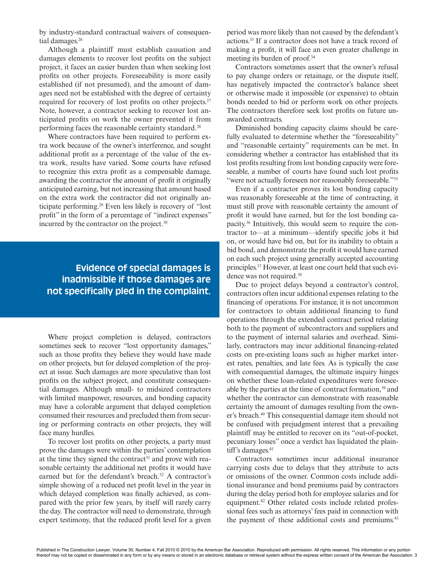by industry-standard contractual waivers of consequential damages.<sup>26</sup>

Although a plaintiff must establish causation and damages elements to recover lost profits on the subject project, it faces an easier burden than when seeking lost profits on other projects. Foreseeability is more easily established (if not presumed), and the amount of damages need not be established with the degree of certainty required for recovery of lost profits on other projects.<sup>27</sup> Note, however, a contractor seeking to recover lost anticipated profits on work the owner prevented it from performing faces the reasonable certainty standard.28

Where contractors have been required to perform extra work because of the owner's interference, and sought additional profit as a percentage of the value of the extra work, results have varied. Some courts have refused to recognize this extra profit as a compensable damage, awarding the contractor the amount of profit it originally anticipated earning, but not increasing that amount based on the extra work the contractor did not originally anticipate performing.29 Even less likely is recovery of "lost profit" in the form of a percentage of "indirect expenses" incurred by the contractor on the project.<sup>30</sup>

## **Evidence of special damages is inadmissible if those damages are not specifically pled in the complaint.**

Where project completion is delayed, contractors sometimes seek to recover "lost opportunity damages," such as those profits they believe they would have made on other projects, but for delayed completion of the project at issue. Such damages are more speculative than lost profits on the subject project, and constitute consequential damages. Although small- to midsized contractors with limited manpower, resources, and bonding capacity may have a colorable argument that delayed completion consumed their resources and precluded them from securing or performing contracts on other projects, they will face many hurdles.

To recover lost profits on other projects, a party must prove the damages were within the parties' contemplation at the time they signed the contract<sup>31</sup> and prove with reasonable certainty the additional net profits it would have earned but for the defendant's breach.<sup>32</sup> A contractor's simple showing of a reduced net profit level in the year in which delayed completion was finally achieved, as compared with the prior few years, by itself will rarely carry the day. The contractor will need to demonstrate, through expert testimony, that the reduced profit level for a given period was more likely than not caused by the defendant's actions.33 If a contractor does not have a track record of making a profit, it will face an even greater challenge in meeting its burden of proof.34

Contractors sometimes assert that the owner's refusal to pay change orders or retainage, or the dispute itself, has negatively impacted the contractor's balance sheet or otherwise made it impossible (or expensive) to obtain bonds needed to bid or perform work on other projects. The contractors therefore seek lost profits on future unawarded contracts.

Diminished bonding capacity claims should be carefully evaluated to determine whether the "foreseeability" and "reasonable certainty" requirements can be met. In considering whether a contractor has established that its lost profits resulting from lost bonding capacity were foreseeable, a number of courts have found such lost profits "were not actually foreseen nor reasonably foreseeable."<sup>35</sup>

Even if a contractor proves its lost bonding capacity was reasonably foreseeable at the time of contracting, it must still prove with reasonable certainty the amount of profit it would have earned, but for the lost bonding capacity.36 Intuitively, this would seem to require the contractor to—at a minimum—identify specific jobs it bid on, or would have bid on, but for its inability to obtain a bid bond, and demonstrate the profit it would have earned on each such project using generally accepted accounting principles.37 However, at least one court held that such evidence was not required.38

Due to project delays beyond a contractor's control, contractors often incur additional expenses relating to the financing of operations. For instance, it is not uncommon for contractors to obtain additional financing to fund operations through the extended contract period relating both to the payment of subcontractors and suppliers and to the payment of internal salaries and overhead. Similarly, contractors may incur additional financing-related costs on pre-existing loans such as higher market interest rates, penalties, and late fees. As is typically the case with consequential damages, the ultimate inquiry hinges on whether these loan-related expenditures were foreseeable by the parties at the time of contract formation,39 and whether the contractor can demonstrate with reasonable certainty the amount of damages resulting from the owner's breach.40 This consequential damage item should not be confused with prejudgment interest that a prevailing plaintiff may be entitled to recover on its "out-of-pocket, pecuniary losses" once a verdict has liquidated the plaintiff's damages.<sup>41</sup>

Contractors sometimes incur additional insurance carrying costs due to delays that they attribute to acts or omissions of the owner. Common costs include additional insurance and bond premiums paid by contractors during the delay period both for employee salaries and for equipment.42 Other related costs include related professional fees such as attorneys' fees paid in connection with the payment of these additional costs and premiums.<sup>43</sup>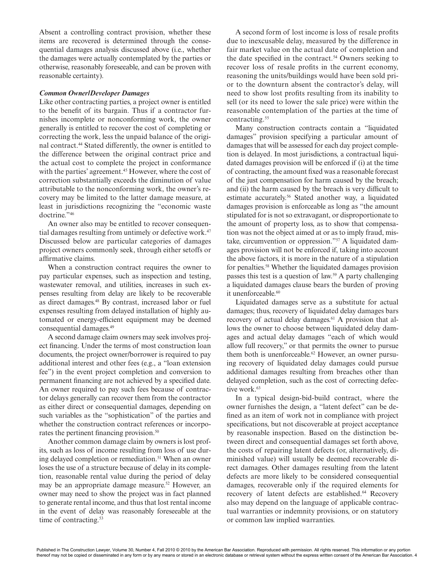Absent a controlling contract provision, whether these items are recovered is determined through the consequential damages analysis discussed above (i.e., whether the damages were actually contemplated by the parties or otherwise, reasonably foreseeable, and can be proven with reasonable certainty).

#### *Common Owner/Developer Damages*

Like other contracting parties, a project owner is entitled to the benefit of its bargain. Thus if a contractor furnishes incomplete or nonconforming work, the owner generally is entitled to recover the cost of completing or correcting the work, less the unpaid balance of the original contract.44 Stated differently, the owner is entitled to the difference between the original contract price and the actual cost to complete the project in conformance with the parties' agreement.<sup>45</sup> However, where the cost of correction substantially exceeds the diminution of value attributable to the nonconforming work, the owner's recovery may be limited to the latter damage measure, at least in jurisdictions recognizing the "economic waste doctrine."46

An owner also may be entitled to recover consequential damages resulting from untimely or defective work.<sup>47</sup> Discussed below are particular categories of damages project owners commonly seek, through either setoffs or affirmative claims.

When a construction contract requires the owner to pay particular expenses, such as inspection and testing, wastewater removal, and utilities, increases in such expenses resulting from delay are likely to be recoverable as direct damages.48 By contrast, increased labor or fuel expenses resulting from delayed installation of highly automated or energy-efficient equipment may be deemed consequential damages.49

A second damage claim owners may seek involves project financing. Under the terms of most construction loan documents, the project owner/borrower is required to pay additional interest and other fees (e.g., a "loan extension fee") in the event project completion and conversion to permanent financing are not achieved by a specified date. An owner required to pay such fees because of contractor delays generally can recover them from the contractor as either direct or consequential damages, depending on such variables as the "sophistication" of the parties and whether the construction contract references or incorporates the pertinent financing provision.<sup>50</sup>

Another common damage claim by owners is lost profits, such as loss of income resulting from loss of use during delayed completion or remediation.<sup>51</sup> When an owner loses the use of a structure because of delay in its completion, reasonable rental value during the period of delay may be an appropriate damage measure.<sup>52</sup> However, an owner may need to show the project was in fact planned to generate rental income, and thus that lost rental income in the event of delay was reasonably foreseeable at the time of contracting.<sup>53</sup>

A second form of lost income is loss of resale profits due to inexcusable delay, measured by the difference in fair market value on the actual date of completion and the date specified in the contract.<sup>54</sup> Owners seeking to recover loss of resale profits in the current economy, reasoning the units/buildings would have been sold prior to the downturn absent the contractor's delay, will need to show lost profits resulting from its inability to sell (or its need to lower the sale price) were within the reasonable contemplation of the parties at the time of contracting.<sup>55</sup>

Many construction contracts contain a "liquidated damages" provision specifying a particular amount of damages that will be assessed for each day project completion is delayed. In most jurisdictions, a contractual liquidated damages provision will be enforced if (i) at the time of contracting, the amount fixed was a reasonable forecast of the just compensation for harm caused by the breach; and (ii) the harm caused by the breach is very difficult to estimate accurately.56 Stated another way, a liquidated damages provision is enforceable as long as "the amount stipulated for is not so extravagant, or disproportionate to the amount of property loss, as to show that compensation was not the object aimed at or as to imply fraud, mistake, circumvention or oppression."57 A liquidated damages provision will not be enforced if, taking into account the above factors, it is more in the nature of a stipulation for penalties.58 Whether the liquidated damages provision passes this test is a question of law.59 A party challenging a liquidated damages clause bears the burden of proving it unenforceable.<sup>60</sup>

Liquidated damages serve as a substitute for actual damages; thus, recovery of liquidated delay damages bars recovery of actual delay damages.<sup>61</sup> A provision that allows the owner to choose between liquidated delay damages and actual delay damages "each of which would allow full recovery," or that permits the owner to pursue them both is unenforceable.<sup>62</sup> However, an owner pursuing recovery of liquidated delay damages could pursue additional damages resulting from breaches other than delayed completion, such as the cost of correcting defective work.<sup>63</sup>

In a typical design-bid-build contract, where the owner furnishes the design, a "latent defect" can be defined as an item of work not in compliance with project specifications, but not discoverable at project acceptance by reasonable inspection. Based on the distinction between direct and consequential damages set forth above, the costs of repairing latent defects (or, alternatively, diminished value) will usually be deemed recoverable direct damages. Other damages resulting from the latent defects are more likely to be considered consequential damages, recoverable only if the required elements for recovery of latent defects are established.<sup>64</sup> Recovery also may depend on the language of applicable contractual warranties or indemnity provisions, or on statutory or common law implied warranties.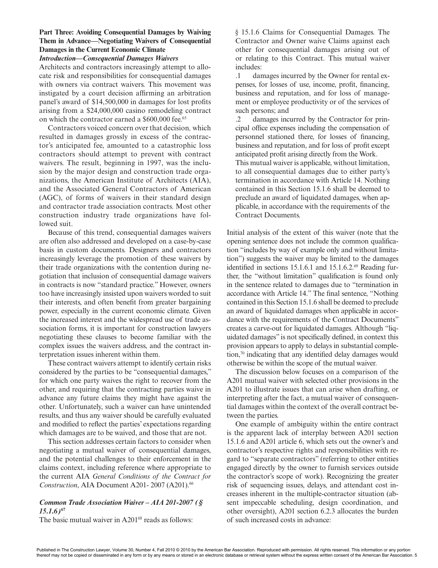## **Part Three: Avoiding Consequential Damages by Waiving Them in Advance—Negotiating Waivers of Consequential Damages in the Current Economic Climate**

#### *Introduction***—***Consequential Damages Waivers*

Architects and contractors increasingly attempt to allocate risk and responsibilities for consequential damages with owners via contract waivers. This movement was instigated by a court decision affirming an arbitration panel's award of \$14,500,000 in damages for lost profits arising from a \$24,000,000 casino remodeling contract on which the contractor earned a \$600,000 fee.<sup>65</sup>

Contractors voiced concern over that decision*,* which resulted in damages grossly in excess of the contractor's anticipated fee, amounted to a catastrophic loss contractors should attempt to prevent with contract waivers. The result, beginning in 1997, was the inclusion by the major design and construction trade organizations, the American Institute of Architects (AIA), and the Associated General Contractors of American (AGC), of forms of waivers in their standard design and contractor trade association contracts. Most other construction industry trade organizations have followed suit.

Because of this trend, consequential damages waivers are often also addressed and developed on a case-by-case basis in custom documents. Designers and contractors increasingly leverage the promotion of these waivers by their trade organizations with the contention during negotiation that inclusion of consequential damage waivers in contracts is now "standard practice." However, owners too have increasingly insisted upon waivers worded to suit their interests, and often benefit from greater bargaining power, especially in the current economic climate. Given the increased interest and the widespread use of trade association forms, it is important for construction lawyers negotiating these clauses to become familiar with the complex issues the waivers address, and the contract interpretation issues inherent within them.

These contract waivers attempt to identify certain risks considered by the parties to be "consequential damages," for which one party waives the right to recover from the other, and requiring that the contracting parties waive in advance any future claims they might have against the other. Unfortunately, such a waiver can have unintended results, and thus any waiver should be carefully evaluated and modified to reflect the parties' expectations regarding which damages are to be waived, and those that are not.

This section addresses certain factors to consider when negotiating a mutual waiver of consequential damages, and the potential challenges to their enforcement in the claims context, including reference where appropriate to the current AIA *General Conditions of the Contract for Construction*, AIA Document A201- 2007 (A201).66

### *Common Trade Association Waiver – AIA 201-2007 (§ 15.1.6)***<sup>67</sup>**

The basic mutual waiver in A201<sup>68</sup> reads as follows:

§ 15.1.6 Claims for Consequential Damages. The Contractor and Owner waive Claims against each other for consequential damages arising out of or relating to this Contract. This mutual waiver includes:

.1 damages incurred by the Owner for rental expenses, for losses of use, income, profit, financing, business and reputation, and for loss of management or employee productivity or of the services of such persons; and

.2 damages incurred by the Contractor for principal office expenses including the compensation of personnel stationed there, for losses of financing, business and reputation, and for loss of profit except anticipated profit arising directly from the Work.

This mutual waiver is applicable, without limitation, to all consequential damages due to either party's termination in accordance with Article 14. Nothing contained in this Section 15.1.6 shall be deemed to preclude an award of liquidated damages, when applicable, in accordance with the requirements of the Contract Documents.

Initial analysis of the extent of this waiver (note that the opening sentence does not include the common qualification "includes by way of example only and without limitation") suggests the waiver may be limited to the damages identified in sections  $15.1.6.1$  and  $15.1.6.2$ .<sup>69</sup> Reading further, the "without limitation" qualification is found only in the sentence related to damages due to "termination in accordance with Article 14." The final sentence, "Nothing contained in this Section 15.1.6 shall be deemed to preclude an award of liquidated damages when applicable in accordance with the requirements of the Contract Documents" creates a carve-out for liquidated damages. Although "liquidated damages" is not specifically defined, in context this provision appears to apply to delays in substantial completion,70 indicating that any identified delay damages would otherwise be within the scope of the mutual waiver.

The discussion below focuses on a comparison of the A201 mutual waiver with selected other provisions in the A201 to illustrate issues that can arise when drafting, or interpreting after the fact, a mutual waiver of consequential damages within the context of the overall contract between the parties.

One example of ambiguity within the entire contract is the apparent lack of interplay between A201 section 15.1.6 and A201 article 6, which sets out the owner's and contractor's respective rights and responsibilities with regard to "separate contractors" (referring to other entities engaged directly by the owner to furnish services outside the contractor's scope of work). Recognizing the greater risk of sequencing issues, delays, and attendant cost increases inherent in the multiple-contractor situation (absent impeccable scheduling, design coordination, and other oversight), A201 section 6.2.3 allocates the burden of such increased costs in advance: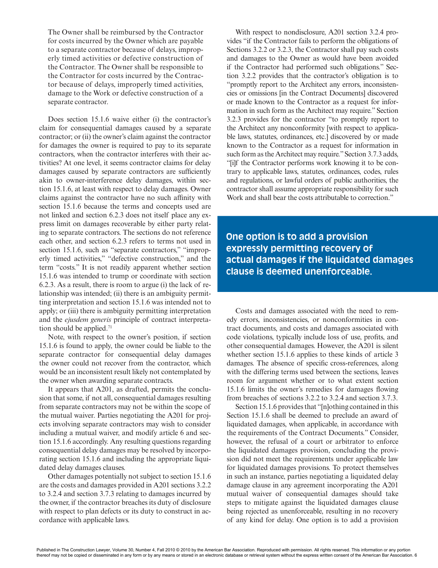The Owner shall be reimbursed by the Contractor for costs incurred by the Owner which are payable to a separate contractor because of delays, improperly timed activities or defective construction of the Contractor. The Owner shall be responsible to the Contractor for costs incurred by the Contractor because of delays, improperly timed activities, damage to the Work or defective construction of a separate contractor.

Does section 15.1.6 waive either (i) the contractor's claim for consequential damages caused by a separate contractor; or (ii) the owner's claim against the contractor for damages the owner is required to pay to its separate contractors, when the contractor interferes with their activities? At one level, it seems contractor claims for delay damages caused by separate contractors are sufficiently akin to owner-interference delay damages, within section 15.1.6, at least with respect to delay damages. Owner claims against the contractor have no such affinity with section 15.1.6 because the terms and concepts used are not linked and section 6.2.3 does not itself place any express limit on damages recoverable by either party relating to separate contractors. The sections do not reference each other, and section 6.2.3 refers to terms not used in section 15.1.6, such as "separate contractors," "improperly timed activities," "defective construction," and the term "costs." It is not readily apparent whether section 15.1.6 was intended to trump or coordinate with section 6.2.3. As a result, there is room to argue (i) the lack of relationship was intended; (ii) there is an ambiguity permitting interpretation and section 15.1.6 was intended not to apply; or (iii) there is ambiguity permitting interpretation and the *ejusdem generis* principle of contract interpretation should be applied. $71$ 

Note, with respect to the owner's position, if section 15.1.6 is found to apply, the owner could be liable to the separate contractor for consequential delay damages the owner could not recover from the contractor, which would be an inconsistent result likely not contemplated by the owner when awarding separate contracts.

It appears that A201, as drafted, permits the conclusion that some, if not all, consequential damages resulting from separate contractors may not be within the scope of the mutual waiver. Parties negotiating the A201 for projects involving separate contractors may wish to consider including a mutual waiver, and modify article 6 and section 15.1.6 accordingly. Any resulting questions regarding consequential delay damages may be resolved by incorporating section 15.1.6 and including the appropriate liquidated delay damages clauses.

Other damages potentially not subject to section 15.1.6 are the costs and damages provided in A201 sections 3.2.2 to 3.2.4 and section 3.7.3 relating to damages incurred by the owner, if the contractor breaches its duty of disclosure with respect to plan defects or its duty to construct in accordance with applicable laws.

With respect to nondisclosure, A201 section 3.2.4 provides "if the Contractor fails to perform the obligations of Sections 3.2.2 or 3.2.3, the Contractor shall pay such costs and damages to the Owner as would have been avoided if the Contractor had performed such obligations." Section 3.2.2 provides that the contractor's obligation is to "promptly report to the Architect any errors, inconsistencies or omissions [in the Contract Documents] discovered or made known to the Contractor as a request for information in such form as the Architect may require." Section 3.2.3 provides for the contractor "to promptly report to the Architect any nonconformity [with respect to applicable laws, statutes, ordinances, etc.] discovered by or made known to the Contractor as a request for information in such form as the Architect may require." Section 3.7.3 adds, "[i]f the Contractor performs work knowing it to be contrary to applicable laws, statutes, ordinances, codes, rules and regulations, or lawful orders of public authorities, the contractor shall assume appropriate responsibility for such Work and shall bear the costs attributable to correction."

**One option is to add a provision expressly permitting recovery of actual damages if the liquidated damages clause is deemed unenforceable.**

Costs and damages associated with the need to remedy errors, inconsistencies, or nonconformities in contract documents, and costs and damages associated with code violations, typically include loss of use, profits, and other consequential damages. However, the A201 is silent whether section 15.1.6 applies to these kinds of article 3 damages. The absence of specific cross-references, along with the differing terms used between the sections, leaves room for argument whether or to what extent section 15.1.6 limits the owner's remedies for damages flowing from breaches of sections 3.2.2 to 3.2.4 and section 3.7.3.

Section 15.1.6 provides that "[n]othing contained in this Section 15.1.6 shall be deemed to preclude an award of liquidated damages, when applicable, in accordance with the requirements of the Contract Documents." Consider, however, the refusal of a court or arbitrator to enforce the liquidated damages provision, concluding the provision did not meet the requirements under applicable law for liquidated damages provisions. To protect themselves in such an instance, parties negotiating a liquidated delay damage clause in any agreement incorporating the A201 mutual waiver of consequential damages should take steps to mitigate against the liquidated damages clause being rejected as unenforceable, resulting in no recovery of any kind for delay. One option is to add a provision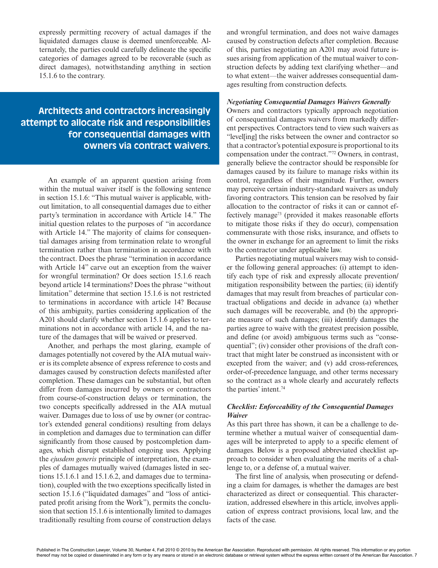expressly permitting recovery of actual damages if the liquidated damages clause is deemed unenforceable. Alternately, the parties could carefully delineate the specific categories of damages agreed to be recoverable (such as direct damages), notwithstanding anything in section 15.1.6 to the contrary.

## **Architects and contractors increasingly attempt to allocate risk and responsibilities for consequential damages with owners via contract waivers.**

An example of an apparent question arising from within the mutual waiver itself is the following sentence in section 15.1.6: "This mutual waiver is applicable, without limitation, to all consequential damages due to either party's termination in accordance with Article 14." The initial question relates to the purposes of "in accordance with Article 14." The majority of claims for consequential damages arising from termination relate to wrongful termination rather than termination in accordance with the contract. Does the phrase "termination in accordance with Article 14" carve out an exception from the waiver for wrongful termination? Or does section 15.1.6 reach beyond article 14 terminations? Does the phrase "without limitation" determine that section 15.1.6 is not restricted to terminations in accordance with article 14? Because of this ambiguity, parties considering application of the A201 should clarify whether section 15.1.6 applies to terminations not in accordance with article 14, and the nature of the damages that will be waived or preserved.

Another, and perhaps the most glaring, example of damages potentially not covered by the AIA mutual waiver is its complete absence of express reference to costs and damages caused by construction defects manifested after completion. These damages can be substantial, but often differ from damages incurred by owners or contractors from course-of-construction delays or termination, the two concepts specifically addressed in the AIA mutual waiver. Damages due to loss of use by owner (or contractor's extended general conditions) resulting from delays in completion and damages due to termination can differ significantly from those caused by postcompletion damages, which disrupt established ongoing uses. Applying the *ejusdem generis* principle of interpretation, the examples of damages mutually waived (damages listed in sections 15.1.6.1 and 15.1.6.2, and damages due to termination), coupled with the two exceptions specifically listed in section 15.1.6 ("liquidated damages" and "loss of anticipated profit arising from the Work"), permits the conclusion that section 15.1.6 is intentionally limited to damages traditionally resulting from course of construction delays and wrongful termination, and does not waive damages caused by construction defects after completion. Because of this, parties negotiating an A201 may avoid future issues arising from application of the mutual waiver to construction defects by adding text clarifying whether—and to what extent—the waiver addresses consequential damages resulting from construction defects.

#### *Negotiating Consequential Damages Waivers Generally*

Owners and contractors typically approach negotiation of consequential damages waivers from markedly different perspectives. Contractors tend to view such waivers as "level[ing] the risks between the owner and contractor so that a contractor's potential exposure is proportional to its compensation under the contract."72 Owners, in contrast, generally believe the contractor should be responsible for damages caused by its failure to manage risks within its control, regardless of their magnitude. Further, owners may perceive certain industry-standard waivers as unduly favoring contractors. This tension can be resolved by fair allocation to the contractor of risks it can or cannot effectively manage73 (provided it makes reasonable efforts to mitigate those risks if they do occur), compensation commensurate with those risks, insurance, and offsets to the owner in exchange for an agreement to limit the risks to the contractor under applicable law.

Parties negotiating mutual waivers may wish to consider the following general approaches: (i) attempt to identify each type of risk and expressly allocate prevention/ mitigation responsibility between the parties; (ii) identify damages that may result from breaches of particular contractual obligations and decide in advance (a) whether such damages will be recoverable, and (b) the appropriate measure of such damages; (iii) identify damages the parties agree to waive with the greatest precision possible, and define (or avoid) ambiguous terms such as "consequential"; (iv) consider other provisions of the draft contract that might later be construed as inconsistent with or excepted from the waiver; and (v) add cross-references, order-of-precedence language, and other terms necessary so the contract as a whole clearly and accurately reflects the parties' intent.<sup>74</sup>

#### *Checklist: Enforceability of the Consequential Damages Waiver*

As this part three has shown, it can be a challenge to determine whether a mutual waiver of consequential damages will be interpreted to apply to a specific element of damages. Below is a proposed abbreviated checklist approach to consider when evaluating the merits of a challenge to, or a defense of, a mutual waiver.

The first line of analysis, when prosecuting or defending a claim for damages, is whether the damages are best characterized as direct or consequential. This characterization, addressed elsewhere in this article, involves application of express contract provisions, local law, and the facts of the case.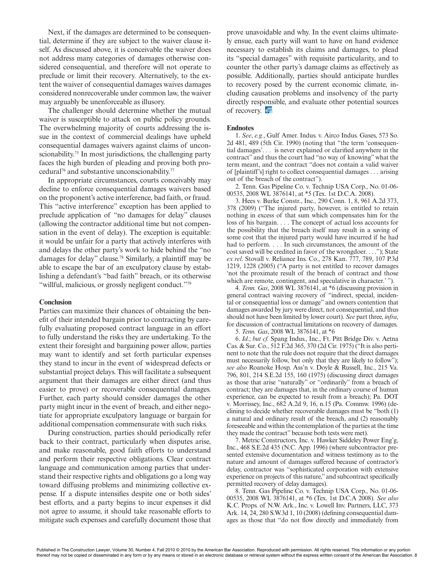Next, if the damages are determined to be consequential, determine if they are subject to the waiver clause itself. As discussed above, it is conceivable the waiver does not address many categories of damages otherwise considered consequential, and therefore will not operate to preclude or limit their recovery. Alternatively, to the extent the waiver of consequential damages waives damages considered nonrecoverable under common law, the waiver may arguably be unenforceable as illusory.

The challenger should determine whether the mutual waiver is susceptible to attack on public policy grounds. The overwhelming majority of courts addressing the issue in the context of commercial dealings have upheld consequential damages waivers against claims of unconscionability.<sup>75</sup> In most jurisdictions, the challenging party faces the high burden of pleading and proving both procedural76 and substantive unconscionability.77

In appropriate circumstances, courts conceivably may decline to enforce consequential damages waivers based on the proponent's active interference, bad faith, or fraud. This "active interference" exception has been applied to preclude application of "no damages for delay" clauses (allowing the contractor additional time but not compensation in the event of delay). The exception is equitable: it would be unfair for a party that actively interferes with and delays the other party's work to hide behind the "no damages for delay" clause.78 Similarly, a plaintiff may be able to escape the bar of an exculpatory clause by establishing a defendant's "bad faith" breach, or its otherwise "willful, malicious, or grossly negligent conduct."<sup>79</sup>

#### **Conclusion**

Parties can maximize their chances of obtaining the benefit of their intended bargain prior to contracting by carefully evaluating proposed contract language in an effort to fully understand the risks they are undertaking. To the extent their foresight and bargaining power allow, parties may want to identify and set forth particular expenses they stand to incur in the event of widespread defects or substantial project delays. This will facilitate a subsequent argument that their damages are either direct (and thus easier to prove) or recoverable consequential damages. Further, each party should consider damages the other party might incur in the event of breach, and either negotiate for appropriate exculpatory language or bargain for additional compensation commensurate with such risks.

During construction, parties should periodically refer back to their contract, particularly when disputes arise, and make reasonable, good faith efforts to understand and perform their respective obligations. Clear contract language and communication among parties that understand their respective rights and obligations go a long way toward diffusing problems and minimizing collective expense. If a dispute intensifies despite one or both sides' best efforts, and a party begins to incur expenses it did not agree to assume, it should take reasonable efforts to mitigate such expenses and carefully document those that

prove unavoidable and why. In the event claims ultimately ensue, each party will want to have on hand evidence necessary to establish its claims and damages, to plead its "special damages" with requisite particularity, and to counter the other party's damage claims as effectively as possible. Additionally, parties should anticipate hurdles to recovery posed by the current economic climate, including causation problems and insolvency of the party directly responsible, and evaluate other potential sources of recovery.  $\overline{on}$ 

#### **Endnotes**

1. *See*, *e.g.*, Gulf Amer. Indus. v. Airco Indus. Gases, 573 So. 2d 481, 489 (5th Cir. 1990) (noting that "the term 'consequential damages'. . . is never explained or clarified anywhere in the contract" and thus the court had "no way of knowing" what the term meant, and the contract "does not contain a valid waiver of [plaintiff's] right to collect consequential damages . . . arising out of the breach of the contract").

2. Tenn. Gas Pipeline Co. v. Technip USA Corp., No. 01-06- 00535, 2008 WL 3876141, at \*5 (Tex. 1st D.C.A. 2008).

3. Hees v. Burke Constr., Inc.*,* 290 Conn. 1, 8, 961 A.2d 373, 378 (2009) ("The injured party, however, is entitled to retain nothing in excess of that sum which compensates him for the loss of his bargain. . . . The concept of actual loss accounts for the possibility that the breach itself may result in a saving of some cost that the injured party would have incurred if he had had to perform. . . . In such circumstances, the amount of the cost saved will be credited in favor of the wrongdoer. . . ."); State *ex rel*. Stovall v. Reliance Ins. Co., 278 Kan. 777, 789, 107 P.3d 1219, 1228 (2005) ("A party is not entitled to recover damages 'not the proximate result of the breach of contract and those which are remote, contingent, and speculative in character.' ").

4. *Tenn. Gas*, 2008 WL 3876141, at \*6 (discussing provision in general contract waiving recovery of "indirect, special, incidental or consequential loss or damage" and owners contention that damages awarded by jury were direct, not consequential, and thus should not have been limited by lower court). *See* part three, *infra*, for discussion of contractual limitations on recovery of damages.

5. *Tenn. Gas*, 2008 WL 3876141, at \*6

6. *Id*.; *but cf.* Spang Indus., Inc., Ft. Pitt Bridge Div. v. Aetna Cas. & Sur. Co., 512 F.2d 365, 370 (2d Cir. 1975) ("It is also pertinent to note that the rule does not require that the direct damages must necessarily follow, but only that they are likely to follow"); *see also* Roanoke Hosp. Ass'n v. Doyle & Russell, Inc., 215 Va. 796, 801, 214 S.E.2d 155, 160 (1975) (discussing direct damages as those that arise "naturally" or "ordinarily" from a breach of contract; they are damages that, in the ordinary course of human experience, can be expected to result from a breach); Pa. DOT v. Morrissey, Inc., 682 A.2d 9, 16, n.15 (Pa. Commw. 1996) (declining to decide whether recoverable damages must be "both (1) a natural and ordinary result of the breach, and (2) reasonably foreseeable and within the contemplation of the parties at the time they made the contract" because both tests were met).

7. Metric Constructors, Inc. v. Hawker Siddeley Power Eng'g, Inc., 468 S.E.2d 435 (N.C. App. 1996) (where subcontractor presented extensive documentation and witness testimony as to the nature and amount of damages suffered because of contractor's delay, contractor was "sophisticated corporation with extensive experience on projects of this nature," and subcontract specifically permitted recovery of delay damages).

8. Tenn. Gas Pipeline Co. v. Technip USA Corp., No. 01-06- 00535, 2008 WL 3876141, at \*6 (Tex. 1st D.C.A 2008). *See also*  K.C. Props. of N.W. Ark., Inc. v. Lowell Inv. Partners, LLC, 373 Ark. 14, 24, 280 S.W.3d 1, 10 (2008) (defining consequential damages as those that "do not flow directly and immediately from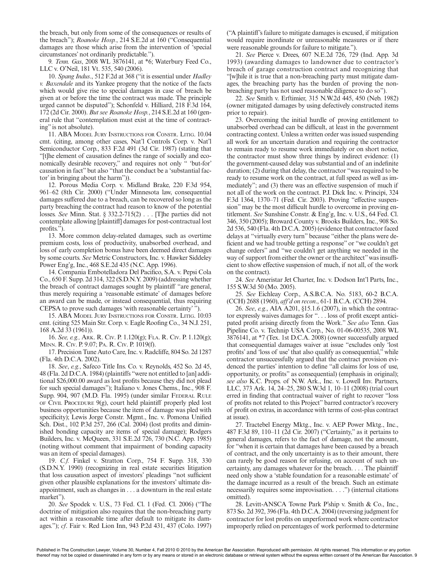the breach, but only from some of the consequences or results of the breach"); *Roanoke Hosp.*, 214 S.E.2d at 160 ("Consequential damages are those which arise from the intervention of 'special circumstances' not ordinarily predictable.").

9*. Tenn. Gas*, 2008 WL 3876141, at \*6; Waterbury Feed Co., LLC v. O'Neil, 181 Vt. 535, 540 (2006).

10. *Spang Indus*., 512 F.2d at 368 ("it is essential under *Hadley v. Baxendale* and its Yankee progeny that the notice of the facts which would give rise to special damages in case of breach be given at or before the time the contract was made. The principle urged cannot be disputed"); Schonfeld v. Hilliard, 218 F.3d 164, 172 (2d Cir. 2000). *But see Roanoke Hosp.*, 214 S.E.2d at 160 (general rule that "contemplation must exist at the time of contracting" is not absolute).

11. ABA Model Jury Instructions for Constr. Litig. 10.04 cmt. (citing, among other cases, Nat'l Controls Corp. v. Nat'l Semiconductor Corp., 833 F.2d 491 (3d Cir. 1987) (stating that "[t]he element of causation defines the range of socially and economically desirable recovery," and requires not only " 'but-for' causation in fact" but also "that the conduct be a 'substantial factor' in bringing about the harm")).

12. Porous Media Corp. v. Midland Brake, 220 F.3d 954, 961–62 (8th Cir. 2000) ("Under Minnesota law, consequential damages suffered due to a breach, can be recovered so long as the party breaching the contract had reason to know of the potential losses. *See* Minn. Stat. § 332.2-715(2) . . . [T]he parties did not contemplate allowing [plaintiff] damages for post-contractual lost profits.").

13. More common delay-related damages, such as overtime premium costs, loss of productivity, unabsorbed overhead, and loss of early completion bonus have been deemed direct damages by some courts. *See* Metric Constructors, Inc. v. Hawker Siddeley Power Eng'g, Inc., 468 S.E.2d 435 (N.C. App. 1996).

14. Compania Embotelladora Del Pacifico, S.A. v. Pepsi Cola Co., 650 F. Supp. 2d 314, 322 (S.D.N.Y. 2009) (addressing whether the breach of contract damages sought by plaintiff "are general, thus merely requiring a 'reasonable estimate' of damages before an award can be made, or instead consequential, thus requiring CEPSA to prove such damages 'with reasonable certainty' ").

15. ABA Model Jury Instructions for Constr. Litig. 10:03 cmt. (citing 525 Main Str. Corp. v. Eagle Roofing Co., 34 N.J. 251, 168 A.2d 33 (1961)).

16. *See, e.g.,* Ark. R. Civ. P. 1.120(g); Fla. R. Civ. P. 1.120(g); Minn. R. Civ. P. 9.07; Pa. R. Civ. P. 1019(f).

17. Precision Tune Auto Care, Inc. v. Radcliffe, 804 So. 2d 1287 (Fla. 4th D.C.A. 2002).

18. *See*, *e.g.*, Safeco Title Ins. Co. v. Reynolds, 452 So. 2d 45, 48 (Fla. 2d D.C.A. 1984) (plaintiffs "were not entitled to [an] additional \$26,000.00 award as lost profits because they did not plead for such special damages"); Italiano v. Jones Chems., Inc., 908 F. Supp. 904, 907 (M.D. Fla. 1995) (under similar FEDERAL RULE of Civil Procedure  $9(g)$ , court held plaintiff properly pled lost business opportunities because the item of damage was pled with specificity); Lewis Jorge Constr. Mgmt., Inc. v. Pomona Unified Sch. Dist., 102 P.3d 257, 266 (Cal. 2004) (lost profits and diminished bonding capacity are items of special damage); Rodgers Builders, Inc. v. McQueen, 331 S.E.2d 726, 730 (N.C. App. 1985) (noting without comment that impairment of bonding capacity was an item of special damages).

19. *C.f.* Finkel v. Stratton Corp., 754 F. Supp. 318, 330 (S.D.N.Y. 1990) (recognizing in real estate securities litigation that loss causation aspect of investors' pleadings "not sufficient given other plausible explanations for the investors' ultimate disappointment, such as changes in . . . a downturn in the real estate market").

20. *See* Spodek v. U.S., 73 Fed. Cl. 1 (Fed. Cl. 2006) ("The doctrine of mitigation also requires that the non-breaching party act within a reasonable time after default to mitigate its damages."); *cf*. Fair v. Red Lion Inn, 943 P.2d 431, 437 (Colo. 1997) ("A plaintiff's failure to mitigate damages is excused, if mitigation would require inordinate or unreasonable measures or if there were reasonable grounds for failure to mitigate.").

21. *See* Pierce v. Drees, 607 N.E.2d 726, 729 (Ind. App. 3d 1993) (awarding damages to landowner due to contractor's breach of garage construction contract and recognizing that "[w]hile it is true that a non-breaching party must mitigate damages, the breaching party has the burden of proving the nonbreaching party has not used reasonable diligence to do so").

22. *See* Smith v. Erftimier, 315 N.W.2d 445, 450 (Neb. 1982) (owner mitigated damages by using defectively constructed items prior to repair).

23. Overcoming the initial hurdle of proving entitlement to unabsorbed overhead can be difficult, at least in the government contracting context. Unless a written order was issued suspending all work for an uncertain duration and requiring the contractor to remain ready to resume work immediately or on short notice, the contractor must show three things by indirect evidence: (1) the government-caused delay was substantial and of an indefinite duration; (2) during that delay, the contractor "was required to be ready to resume work on the contract, at full speed as well as immediately"; and (3) there was an effective suspension of much if not all of the work on the contract. P.J. Dick Inc. v. Principi, 324 F.3d 1364, 1370–71 (Fed. Cir. 2003). Proving "effective suspension" may be the most difficult hurdle to overcome in proving entitlement. *See* Sunshine Constr. & Eng'g, Inc. v. U.S., 64 Fed. Cl. 346, 350 (2005); Broward County v. Brooks Builders, Inc., 908 So. 2d 536, 540 (Fla. 4th D.C.A. 2005) (evidence that contractor faced delays at "virtually every turn" because "either the plans were deficient and we had trouble getting a response" or "we couldn't get change orders" and "we couldn't get anything we needed in the way of support from either the owner or the architect" was insufficient to show effective suspension of much, if not all, of the work on the contract).

24. *See* Ameristar Jet Charter, Inc. v. Dodson Int'l Parts, Inc., 155 S.W.3d 50 (Mo. 2005).

25. *See* Eichleay Corp., A.S.B.C.A. No. 5183, 60-2 B.C.A. (CCH) 2688 (1960), *aff'd on recon*., 61-1 B.C.A. (CCH) 2894.

26. *See*, *e.g.*, AIA A201, §15.1.6 (2007), in which the contractor expressly waives damages for ". . . loss of profit except anticipated profit arising directly from the Work." *See also* Tenn. Gas Pipeline Co. v. Technip USA Corp., No. 01-06-00535, 2008 WL 3876141, at \*7 (Tex. 1st D.C.A. 2008) (owner successfully argued that consequential damages waiver at issue "excludes only 'lost profits' and 'loss of use' that also qualify as consequential," while contractor unsuccessfully argued that the contract provision evidenced the parties' intention to define "all claims for loss of use, opportunity, or profits" as consequential) (emphasis in original); *see also* K.C. Props. of N.W. Ark., Inc. v. Lowell Inv. Partners, LLC, 373 Ark. 14, 24–25, 280 S.W.3d 1, 10–11 (2008) (trial court erred in finding that contractual waiver of right to recover "loss of profits not related to this Project" barred contractor's recovery of profit on extras, in accordance with terms of cost-plus contract at issue).

27. Tractebel Energy Mktg., Inc. v. AEP Power Mktg., Inc., 487 F.3d 89, 110–11 (2d Cir. 2007) ("Certainty," as it pertains to general damages, refers to the fact of damage, not the amount, for "when it is certain that damages have been caused by a breach of contract, and the only uncertainty is as to their amount, there can rarely be good reason for refusing, on account of such uncertainty, any damages whatever for the breach. . . . The plaintiff need only show a 'stable foundation for a reasonable estimate' of the damage incurred as a result of the breach. Such an estimate necessarily requires some improvisation. . . .") (internal citations omitted).

28. Levitt-ANSCA Towne Park P'ship v. Smith & Co., Inc., 873 So. 2d 392, 396 (Fla. 4th D.C.A. 2004) (reversing judgment for contractor for lost profits on unperformed work where contractor improperly relied on percentages of work performed to determine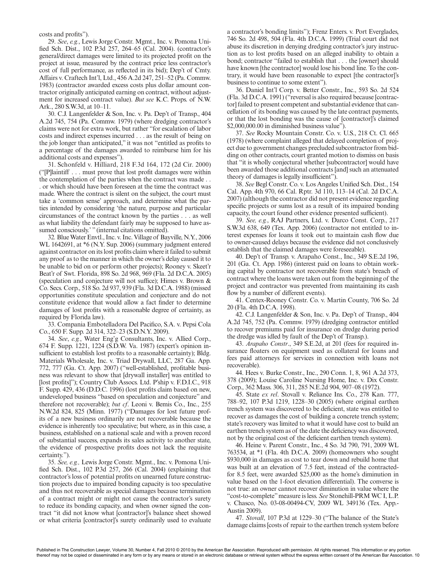costs and profits").

29. *See*, *e.g.*, Lewis Jorge Constr. Mgmt., Inc. v. Pomona Unified Sch. Dist., 102 P.3d 257, 264–65 (Cal. 2004). (contractor's general/direct damages were limited to its projected profit on the project at issue, measured by the contract price less contractor's cost of full performance, as reflected in its bid); Dep't of Cmty. Affairs v. Craftech Int'l, Ltd., 456 A.2d 247, 251–52 (Pa. Commw. 1983) (contractor awarded excess costs plus dollar amount contractor originally anticipated earning on contract, without adjustment for increased contract value). *But see* K.C. Props. of N.W. Ark., 280 S.W.3d, at 10–11.

30. C.J. Langenfelder & Son, Inc. v. Pa. Dep't of Transp., 404 A.2d 745, 754 (Pa. Commw. 1979) (where dredging contractor's claims were not for extra work, but rather "for escalation of labor costs and indirect expenses incurred . . . as the result of being on the job longer than anticipated," it was not "entitled as profits to a percentage of the damages awarded to reimburse him for his additional costs and expenses").

31. Schonfeld v. Hilliard, 218 F.3d 164, 172 (2d Cir. 2000) ("[P]laintiff . . . must prove that lost profit damages were within the contemplation of the parties when the contract was made . . . or which should have been foreseen at the time the contract was made. Where the contract is silent on the subject, the court must take a 'common sense' approach, and determine what the parties intended by considering 'the nature, purpose and particular circumstances of the contract known by the parties . . . as well as what liability the defendant fairly may be supposed to have assumed consciously.' " (internal citations omitted).

32*.* Blue Water Envtl., Inc. v. Inc. Village of Bayville, N.Y., 2006 WL 1642691, at \*6 (N.Y. Sup. 2006) (summary judgment entered against contractor on its lost profits claim where it failed to submit any proof as to the manner in which the owner's delay caused it to be unable to bid on or perform other projects); Rooney v. Skeet'r Beat'r of Swt. Florida, 898 So. 2d 968, 969 (Fla. 2d D.C.A. 2005) (speculation and conjecture will not suffice); Himes v. Brown & Co. Secs. Corp., 518 So. 2d 937, 939 (Fla. 3d D.C.A. 1988) (missed opportunities constitute speculation and conjecture and do not constitute evidence that would allow a fact finder to determine damages of lost profits with a reasonable degree of certainty, as required by Florida law).

33. Compania Embotelladora Del Pacifico, S.A. v. Pepsi Cola Co., 650 F. Supp. 2d 314, 322–23 (S.D.N.Y. 2009).

34. *See*, *e.g.*, Water Eng'g Consultants, Inc. v. Allied Corp., 674 F. Supp. 1221, 1224 (S.D.W. Va. 1987) (expert's opinion insufficient to establish lost profits to a reasonable certainty); Bldg. Materials Wholesale, Inc. v. Triad Drywall, LLC, 287 Ga. App. 772, 777 (Ga. Ct. App. 2007) ("well-established, profitable business was relevant to show that [drywall installer] was entitled to [lost profits]"); Country Club Assocs. Ltd. P'ship v. F.D.I.C., 918 F. Supp. 429, 436 (D.D.C. 1996) (lost profits claim based on new, undeveloped business "based on speculation and conjecture" and therefore not recoverable); *but cf*. Leoni v. Bemis Co., Inc., 255 N.W.2d 824, 825 (Minn. 1977) ("Damages for lost future profits of a new business ordinarily are not recoverable because the evidence is inherently too speculative; but where, as in this case, a business, established on a national scale and with a proven record of substantial success, expands its sales activity to another state, the evidence of prospective profits does not lack the requisite certainty.").

35. *See, e.g.,* Lewis Jorge Constr. Mgmt., Inc. v. Pomona Unified Sch. Dist., 102 P.3d 257, 266 (Cal. 2004) (explaining that contractor's loss of potential profits on unearned future construction projects due to impaired bonding capacity is too speculative and thus not recoverable as special damages because termination of a contract might or might not cause the contractor's surety to reduce its bonding capacity, and when owner signed the contract "it did not know what [contractor]'s balance sheet showed or what criteria [contractor]'s surety ordinarily used to evaluate a contractor's bonding limits"); Frenz Enters. v. Port Everglades, 746 So. 2d 498, 504 (Fla. 4th D.C.A. 1999) (Trial court did not abuse its discretion in denying dredging contractor's jury instruction as to lost profits based on an alleged inability to obtain a bond; contractor "failed to establish that . . . the [owner] should have known [the contractor] would lose his bond line. To the contrary, it would have been reasonable to expect [the contractor]'s business to continue to some extent").

36. Daniel Int'l Corp. v. Better Constr., Inc., 593 So. 2d 524 (Fla. 3d D.C.A. 1991) ("reversal is also required because [contractor] failed to present competent and substantial evidence that cancellation of its bonding was caused by the late contract payments, or that the lost bonding was the cause of [contractor]'s claimed \$2,000,000.00 in diminished business value").

37. *See* Rocky Mountain Constr. Co. v. U.S., 218 Ct. Cl. 665 (1978) (where complaint alleged that delayed completion of project due to government changes precluded subcontractor from bidding on other contracts, court granted motion to dismiss on basis that "it is wholly conjectural whether [subcontractor] would have been awarded those additional contracts [and] such an attenuated theory of damages is legally insufficient").

38. *See* Begl Constr. Co. v. Los Angeles Unified Sch. Dist., 154 Cal. App. 4th 970, 66 Cal. Rptr. 3d 110, 113–14 (Cal. 2d D.C.A. 2007) (although the contractor did not present evidence regarding specific projects or sums lost as a result of its impaired bonding capacity, the court found other evidence presented sufficient).

39. *See, e.g.*, RAJ Partners, Ltd. v. Darco Const. Corp., 217 S.W.3d 638, 649 (Tex. App. 2006) (contractor not entitled to interest expenses for loans it took out to maintain cash flow due to owner-caused delays because the evidence did not conclusively establish that the claimed damages were foreseeable).

40. Dep't of Transp. v. Arapaho Const., Inc., 349 S.E.2d 196, 201 (Ga. Ct. App. 1986) (interest paid on loans to obtain working capital by contractor not recoverable from state's breach of contract where the loans were taken out from the beginning of the project and contractor was prevented from maintaining its cash flow by a number of different events).

41. Centex-Rooney Constr. Co. v. Martin County, 706 So. 2d 20 (Fla. 4th D.C.A. 1998).

42. C.J. Langenfelder & Son, Inc. v. Pa. Dep't of Transp., 404 A.2d 745, 752 (Pa. Commw. 1979) (dredging contractor entitled to recover premiums paid for insurance on dredge during period the dredge was idled by fault of the Dep't of Transp.).

43. *Arapaho Constr*., 349 S.E.2d, at 201 (fees for required insurance floaters on equipment used as collateral for loans and fees paid attorneys for services in connection with loans not recoverable).

44. Hees v. Burke Constr., Inc., 290 Conn. 1, 8, 961 A.2d 373, 378 (2009); Louise Caroline Nursing Home, Inc. v. Dix Constr. Corp., 362 Mass. 306, 311, 285 N.E.2d 904, 907–08 (1972).

45. State *ex rel*. Stovall v. Reliance Ins. Co., 278 Kan. 777, 788–92, 107 P.3d 1219, 1228–30 (2005) (where original earthen trench system was discovered to be deficient, state was entitled to recover as damages the cost of building a concrete trench system; state's recovery was limited to what it would have cost to build an earthen trench system as of the date the deficiency was discovered, not by the original cost of the deficient earthen trench system).

46. Heine v. Parent Constr., Inc., 4 So. 3d 790, 791, 2009 WL 763534, at \*1 (Fla. 4th D.C.A. 2009) (homeowners who sought \$930,000 in damages as cost to tear down and rebuild home that was built at an elevation of 7.5 feet, instead of the contractedfor 8.5 feet, were awarded \$25,000 as the home's diminution in value based on the 1-foot elevation differential). The converse is not true: an owner cannot recover diminution in value where the "cost-to-complete" measure is less. *See* Stonehill-PRM WC I, L.P. v. Chasco, No. 03-08-00494-CV, 2009 WL 349136 (Tex. App.- Austin 2009).

47. *Stovall*, 107 P.3d at 1229–30 ("The balance of the State's damage claims [costs of repair to the earthen trench system before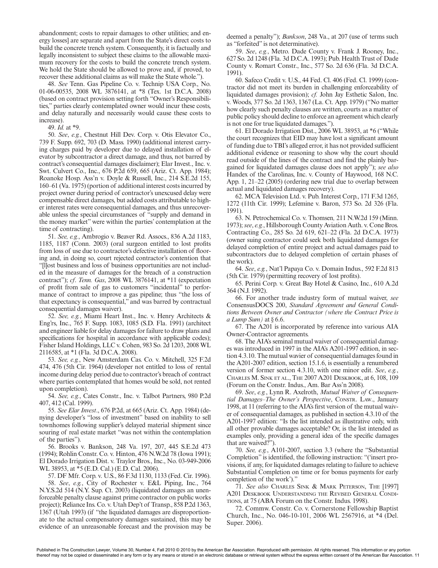abandonment; costs to repair damages to other utilities; and energy losses] are separate and apart from the State's direct costs to build the concrete trench system. Consequently, it is factually and legally inconsistent to subject these claims to the allowable maximum recovery for the costs to build the concrete trench system. We hold the State should be allowed to prove and, if proved, to recover these additional claims as will make the State whole.").

48. *See* Tenn. Gas Pipeline Co. v. Technip USA Corp., No. 01-06-00535, 2008 WL 3876141, at \*8 (Tex. 1st D.C.A. 2008) (based on contract provision setting forth "Owner's Responsibilities," parties clearly contemplated owner would incur these costs, and delay naturally and necessarily would cause these costs to increase).

49. *Id.* at \*9.

50. *See*, *e.g.*, Chestnut Hill Dev. Corp. v. Otis Elevator Co., 739 F. Supp. 692, 703 (D. Mass. 1990) (additional interest carrying charges paid by developer due to delayed installation of elevator by subcontractor a direct damage, and thus, not barred by contract's consequential damages disclaimer); Elar Invest., Inc. v. Swt. Culvert Co., Inc., 676 P.2d 659, 665 (Ariz. Ct. App. 1984); Roanoke Hosp. Ass'n v. Doyle & Russell, Inc., 214 S.E.2d 155, 160–61 (Va. 1975) (portion of additional interest costs incurred by project owner during period of contractor's unexcused delay were compensable direct damages, but added costs attributable to higher interest rates were consequential damages, and thus unrecoverable unless the special circumstances of "supply and demand in the money market" were within the parties' contemplation at the time of contracting).

51. *See, e.g.*, Ambrogio v. Beaver Rd. Assocs., 836 A.2d 1183, 1185, 1187 (Conn. 2003) (oral surgeon entitled to lost profits from loss of use due to contractor's defective installation of flooring and, in doing so, court rejected contractor's contention that "[l]ost business and loss of business opportunities are not included in the measure of damages for the breach of a construction contract"); *cf*. *Tenn. Gas*, 2008 WL 3876141, at \*11 (expectation of profit from sale of gas to customers "incidental" to performance of contract to improve a gas pipeline; thus "the loss of that expectancy is consequential," and was barred by contractual consequential damages waiver).

52. *See, e.g.*, Miami Heart Inst., Inc. v. Henry Architects & Eng'rs, Inc., 765 F. Supp. 1083, 1085 (S.D. Fla. 1991) (architect and engineer liable for delay damages for failure to draw plans and specifications for hospital in accordance with applicable codes); Fisher Island Holdings, LLC v. Cohen, 983 So. 2d 1203, 2008 WL 2116585, at \*1 (Fla. 3d D.C.A. 2008).

53. *See, e.g.*, New Amsterdam Cas. Co. v. Mitchell, 325 F.2d 474, 476 (5th Cir. 1964) (developer not entitled to loss of rental income during delay period due to contractor's breach of contract where parties contemplated that homes would be sold, not rented upon completion).

54. *See, e.g.*, Cates Constr., Inc. v. Talbot Partners, 980 P.2d 407, 412 (Cal. 1999).

55. *See Elar Invest*., 676 P.2d, at 665 (Ariz. Ct. App. 1984) (denying developer's "loss of investment" based on inability to sell townhomes following supplier's delayed material shipment since souring of real estate market "was not within the contemplation of the parties").

56. Brooks v. Bankson, 248 Va. 197, 207, 445 S.E.2d 473 (1994); Rohlin Constr. Co. v. Hinton, 476 N.W.2d 78 (Iowa 1991); El Dorado Irrigation Dist. v. Traylor Bros., Inc., No. 03-949-2006 WL 38953, at \*5 (E.D. Cal.) (E.D. Cal. 2006).

57. DF Mfr. Corp. v. U.S., 86 F.3d 1130, 1133 (Fed. Cir. 1996).

58. *See*, *e.g.*, City of Rochester v. E&L Piping, Inc., 764 N.Y.S.2d 514 (N.Y. Sup. Ct. 2003) (liquidated damages an unenforceable penalty clause against prime contractor on public works project); Reliance Ins. Co. v. Utah Dep't of Transp., 858 P.2d 1363, 1367 (Utah 1993) (if "the liquidated damages are disproportionate to the actual compensatory damages sustained, this may be evidence of an unreasonable forecast and the provision may be

deemed a penalty"); *Bankson*, 248 Va., at 207 (use of terms such as "forfeited" is not determinative).

59. *See*, *e.g.*, Metro. Dade County v. Frank J. Rooney, Inc., 627 So. 2d 1248 (Fla. 3d D.C.A. 1993); Pub. Health Trust of Dade County v. Romart Constr., Inc., 577 So. 2d 636 (Fla. 3d D.C.A. 1991).

60. Safeco Credit v. U.S., 44 Fed. Cl. 406 (Fed. Cl. 1999) (contractor did not meet its burden in challenging enforceability of liquidated damages provision); *cf.* John Jay Esthetic Salon, Inc. v. Woods, 377 So. 2d 1363, 1367 (La. Ct. App. 1979) ("No matter how clearly such penalty clauses are written, courts as a matter of public policy should decline to enforce an agreement which clearly is not one for true liquidated damages.").

61. El Dorado Irrigation Dist., 2006 WL 38953, at \*6 ("While the court recognizes that EID may have lost a significant amount of funding due to TBI's alleged error, it has not provided sufficient additional evidence or reasoning to show why the court should read outside of the lines of the contract and find the plainly bargained for liquidated damages clause does not apply"); *see also* Handex of the Carolinas, Inc. v. County of Haywood, 168 N.C. App. 1, 21–22 (2005) (ordering new trial due to overlap between actual and liquidated damages recovery).

62. MCA Television Ltd. v. Pub. Interest Corp., 171 F.3d 1265, 1272 (11th Cir. 1999); Lefemine v. Baron, 573 So. 2d 326 (Fla. 1991).

63. N. Petrochemical Co. v. Thomsen*,* 211 N.W.2d 159 (Minn. 1973); *see*, *e.g.*, Hillsborough County Aviation Auth. v. Cone Bros. Contracting Co., 285 So. 2d 619, 621–22 (Fla. 2d D.C.A. 1973) (owner suing contractor could seek both liquidated damages for delayed completion of entire project and actual damages paid to subcontractors due to delayed completion of certain phases of the work).

64. *See*, *e.g.*, Nat'l Papaya Co. v. Domain Indus., 592 F.2d 813 (5th Cir. 1979) (permitting recovery of lost profits).

65. Perini Corp. v. Great Bay Hotel & Casino, Inc., 610 A.2d 364 (N.J. 1992).

66. For another trade industry form of mutual waiver, *see* ConsensusDOCS 200, *Standard Agreement and General Conditions Between Owner and Contractor (where the Contract Price is a Lump Sum)* at § 6.6.

67. The A201 is incorporated by reference into various AIA Owner-Contractor agreements.

68. The AIA's seminal mutual waiver of consequential damages was introduced in 1997 in the AIA's A201-1997 edition, in section 4.3.10. The mutual wavier of consequential damages found in the A201-2007 edition, section 15.1.6, is essentially a renumbered version of former section 4.3.10, with one minor edit. *See*, *e.g.*, Charles M. Sink et al., The 2007 A201 Deskbook, at 6, 108, 109 (Forum on the Constr. Indus., Am. Bar Ass'n 2008).

69. *See*, *e.g.*, Lynn R. Axelroth, *Mutual Waiver of Consequen*tial Damages–The Owner's Perspective, CONSTR. LAW., January 1998, at 11 (referring to the AIA's first version of the mutual waiver of consequential damages, as published in section 4.3.10 of the A201-1997 edition: "Is the list intended as illustrative only, with all other provable damages acceptable? Or, is the list intended as examples only, providing a general idea of the specific damages that are waived?").

70. *See, e.g.*, A101-2007, section 3.3 (where the "Substantial Completion" is identified, the following instruction: "('insert provisions, if any, for liquidated damages relating to failure to achieve Substantial Completion on time or for bonus payments for early completion of the work').'

71. *See also* Charles Sink & Mark Peterson, The [1997] A201 Deskbook Understanding the Revised General Conditions, at 75 (ABA Forum on the Constr. Indus. 1998).

72. Commw. Constr. Co. v. Cornerstone Fellowship Baptist Church, Inc., No. 046-10-101, 2006 WL 2567916, at \*4 (Del. Super. 2006).